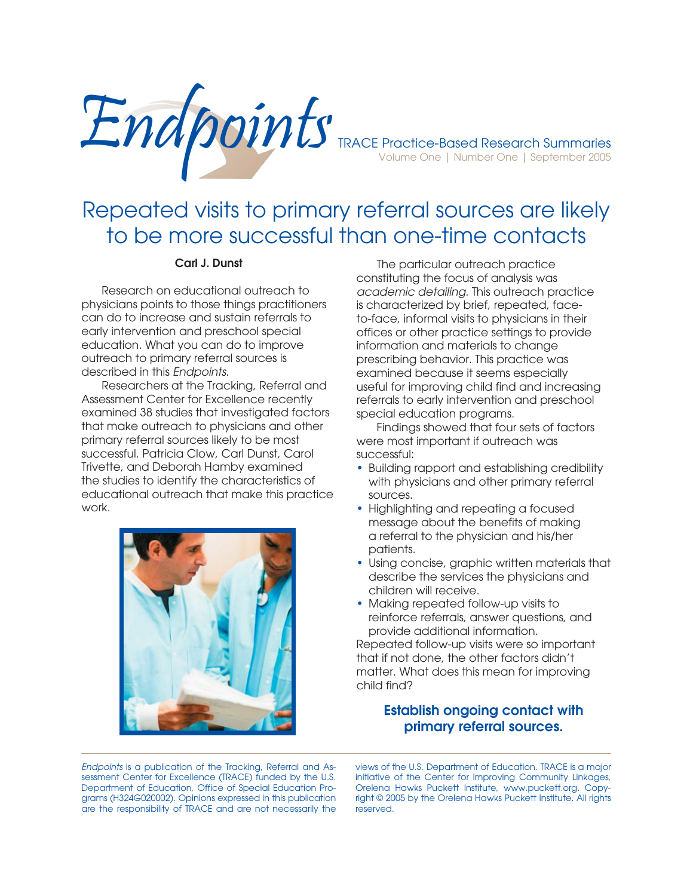

# Repeated visits to primary referral sources are likely to be more successful than one-time contacts

### **Carl J. Dunst**

 Research on educational outreach to physicians points to those things practitioners can do to increase and sustain referrals to early intervention and preschool special education. What you can do to improve outreach to primary referral sources is described in this Endpoints.

 Researchers at the Tracking, Referral and Assessment Center for Excellence recently examined 38 studies that investigated factors that make outreach to physicians and other primary referral sources likely to be most successful. Patricia Clow, Carl Dunst, Carol Trivette, and Deborah Hamby examined the studies to identify the characteristics of educational outreach that make this practice work.



 The particular outreach practice constituting the focus of analysis was academic detailing. This outreach practice is characterized by brief, repeated, faceto-face, informal visits to physicians in their offices or other practice settings to provide information and materials to change prescribing behavior. This practice was examined because it seems especially useful for improving child find and increasing referrals to early intervention and preschool special education programs.

 Findings showed that four sets of factors were most important if outreach was successful:

- Building rapport and establishing credibility with physicians and other primary referral sources.
- Highlighting and repeating a focused message about the benefits of making a referral to the physician and his/her patients.
- Using concise, graphic written materials that describe the services the physicians and children will receive.
- Making repeated follow-up visits to reinforce referrals, answer questions, and provide additional information.

Repeated follow-up visits were so important that if not done, the other factors didn't matter. What does this mean for improving child find?

## **Establish ongoing contact with primary referral sources.**

Endpoints is a publication of the Tracking, Referral and Assessment Center for Excellence (TRACE) funded by the U.S. Department of Education, Office of Special Education Programs (H324G020002). Opinions expressed in this publication are the responsibility of TRACE and are not necessarily the

views of the U.S. Department of Education. TRACE is a major initiative of the Center for Improving Community Linkages, Orelena Hawks Puckett Institute, www.puckett.org. Copyright © 2005 by the Orelena Hawks Puckett Institute. All rights reserved.